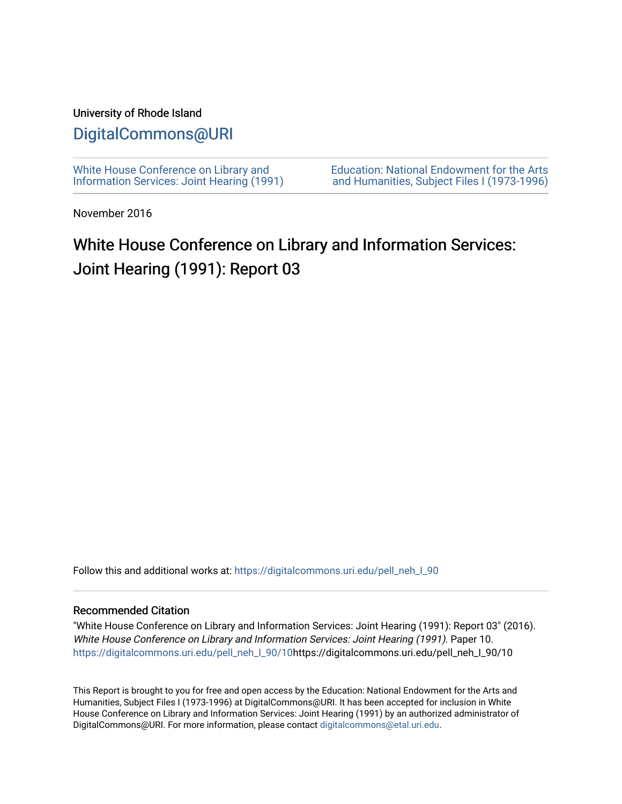#### University of Rhode Island

### [DigitalCommons@URI](https://digitalcommons.uri.edu/)

[White House Conference on Library and](https://digitalcommons.uri.edu/pell_neh_I_90) [Information Services: Joint Hearing \(1991\)](https://digitalcommons.uri.edu/pell_neh_I_90) [Education: National Endowment for the Arts](https://digitalcommons.uri.edu/pell_neh_I)  [and Humanities, Subject Files I \(1973-1996\)](https://digitalcommons.uri.edu/pell_neh_I) 

November 2016

# White House Conference on Library and Information Services: Joint Hearing (1991): Report 03

Follow this and additional works at: https://digitalcommons.uri.edu/pell\_neh\_I\_90

#### Recommended Citation

"White House Conference on Library and Information Services: Joint Hearing (1991): Report 03" (2016). White House Conference on Library and Information Services: Joint Hearing (1991). Paper 10. [https://digitalcommons.uri.edu/pell\\_neh\\_I\\_90/10h](https://digitalcommons.uri.edu/pell_neh_I_90/10?utm_source=digitalcommons.uri.edu%2Fpell_neh_I_90%2F10&utm_medium=PDF&utm_campaign=PDFCoverPages)ttps://digitalcommons.uri.edu/pell\_neh\_I\_90/10

This Report is brought to you for free and open access by the Education: National Endowment for the Arts and Humanities, Subject Files I (1973-1996) at DigitalCommons@URI. It has been accepted for inclusion in White House Conference on Library and Information Services: Joint Hearing (1991) by an authorized administrator of DigitalCommons@URI. For more information, please contact [digitalcommons@etal.uri.edu.](mailto:digitalcommons@etal.uri.edu)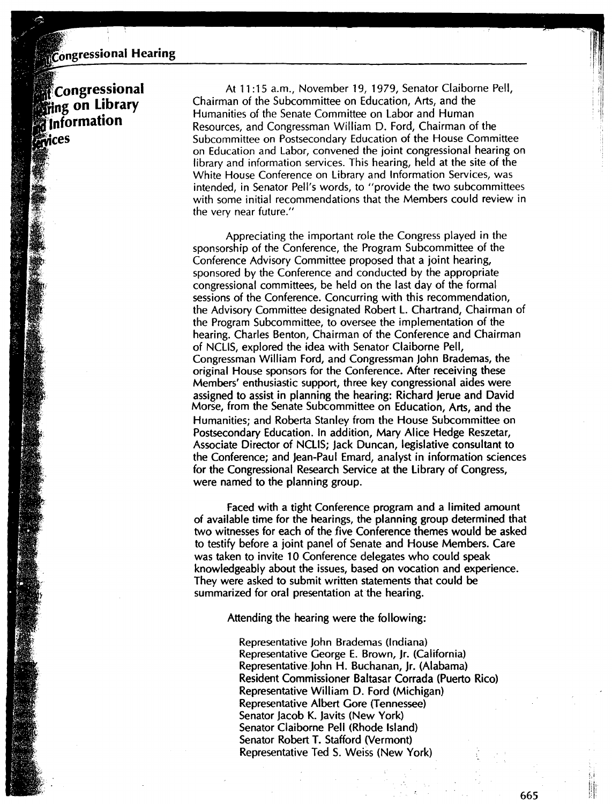## Congressional Hearing

 $^{\circ\circ\circ}_{\bullet\bullet}$ Congressional *<u>living</u>* on Library **'.'Information**  *<u>iervices</u>* 

At 11 : 15 a.m., November 19, 1979, Senator Claiborne Pell, Chairman of the Subcommittee on Education, Arts, and the Humanities of the Senate Committee on Labor and Human Resources, and Congressman William D. Ford, Chairman of the Subcommittee on Postsecondary Education of the House Committee on Education and Labor, convened the joint congressional hearing on library and information services. This hearing, held at the site of the White House Conference on Library and Information Services, was intended, in Senator Pell's words, to "provide the two subcommittees with some initial recommendations that the Members could review in the very near future."

Appreciating the important role the Congress played in the sponsorship of the Conference, the Program Subcommittee of the Conference Advisory Committee proposed that a joint hearing, sponsored by the Conference and conducted by the appropriate congressional committees, be held on the last day of the formal sessions of the Conference. Concurring with this recommendation, the Advisory Committee designated Robert L. Chartrand, Chairman of the Program Subcommittee, to oversee the implementation of the hearing. Charles Benton, Chairman of the Conference and Chairman of NCLIS, explored the idea with Senator Claiborne Pell, Congressman William Ford, and Congressman John Brademas, the original House sponsors for the Conference. After receiving these Members' enthusiastic support, three key congressional aides were assigned to assist in planning the hearing: Richard Jerue and David Morse, from the Senate Subcommittee on Education, Arts, and the Humanities; and Roberta Stanley from the House Subcommittee on Postsecondary Education. In addition, Mary Alice Hedge Reszetar, Associate Director of NCLIS; Jack Duncan, legislative consultant to the Conference; and Jean-Paul Emard, analyst in information sciences for the Congressional Research Service at the Library of Congress, were named to the planning group.

Faced with a tight Conference program and a limited amount of available time for the hearings, the planning group determined that two witnesses for each of the five Conference themes would be asked to testify before a joint panel of Senate and House Members. Care was taken to invite 10 Conference delegates who could speak knowledgeably about the issues, based on vocation and experience. They were asked to submit written statements that could be summarized for oral presentation at the hearing.

Attending the hearing were the following:

Representative John Brademas (Indiana) Representative George E. Brown, Jr. (California) Representative.John H. Buchanan, Jr. (Alabama) Resident Commissioner Baltasar Corrada (Puerto Rico) Representative William D. Ford (Michigan) Representative Albert Gore (Tennessee) Senator Jacob K. Javits (New York) Senator Claiborne Pell (Rhode Island) Senator Robert T. Stafford (Vermont) Representative Ted S. Weiss (New York)

665

'I ''ii '' I i I ' 11 ,, I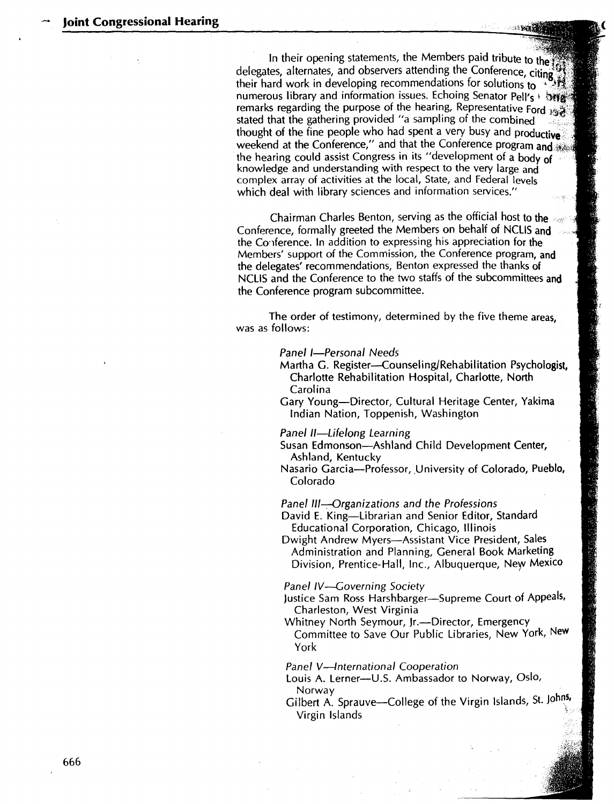In their opening statements, the Members paid tribute to the ... delegates, alternates, and observers attending the Conference, citing<sup>\*\*\*</sup>... their hard work in developing recommendations tor solutions to • numerous library and information issues. Echoing Senator Pell's 1 ~jtf remarks regarding the purpose of the hearing, Representative Ford *is* stated that the gathering provided "a sampling of the combined thought of the fine people who had spent a very busy and productive weekend at the Conference," and that the Conference program and  $\frac{1}{2}$ the hearing could assist Congress in its "development of a body of knowledge and understanding with respect to the very large and complex array of activities at the local, State, and Federal levels which deal with library sciences and information services."

Chairman Charles Benton, serving as the official host to the Conference, formally greeted the Members on behalf of NCUS and the Co·1ference. In addition to expressing his appreciation for the Members' support of the Commission, the Conference program, and the delegates' recommendations, Benton expressed the thanks of NCLIS and the Conference to the two staffs of the subcommittees and the Conference program subcommittee.

The order of testimony, determined by the five theme areas, was as follows:

Panel I-Personal Needs

- Martha G. Register-Counseling/Rehabilitation Psychologist, Charlotte Rehabilitation Hospital, Charlotte, North Carolina
- Gary Young-Director, Cultural Heritage Center, Yakima Indian Nation, Toppenish, Washington

Panel II-Lifelong Learning

- Susan Edmonson-Ashland Child Development Center, Ashland, Kentucky
- Nasario Garcia--Professor, University of Colorado, Pueblo, Colorado

Panel III-Organizations and the Professions

David E. King-Librarian and Senior Editor, Standard Educational Corporation, Chicago, Illinois

Dwight Andrew Myers-Assistant Vice President, Sales Administration and Planning, General Book Marketing Division, Prentice-Hall, Inc., Albuquerque, New Mexico

Panel IV-Governing Society

- Justice Sam Ross Harshbarger-Supreme Court of Appeals, Charleston, West Virginia
- Whitney North Seymour, Jr.--Director, Emergency Committee to Save Our Public Libraries, New York, New York

Panel V-International Cooperation

- Louis A. Lerner-U.S. Ambassador to Norway, Oslo, Norway
- Gilbert A. Sprauve-College of the Virgin Islands, St. Johns, Virgin Islands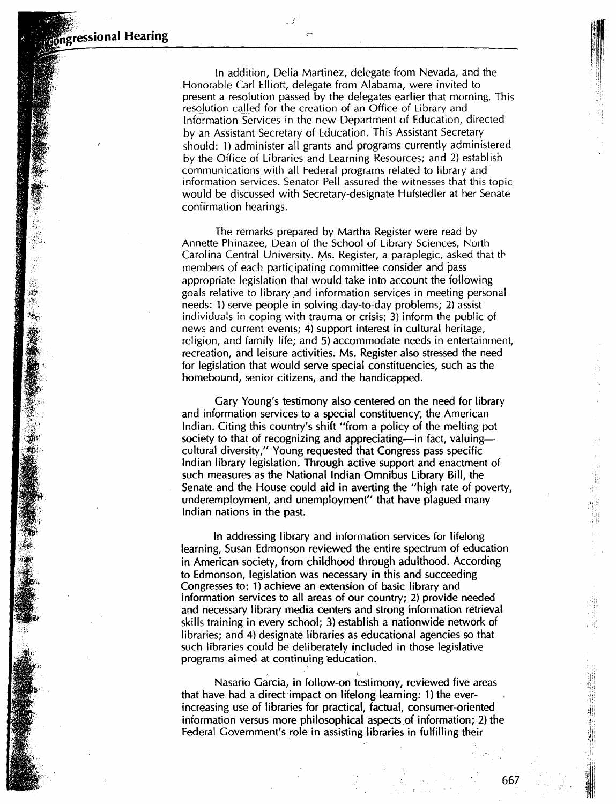柳

In addition, Delia Martinez, delegate from Nevada, and the Honorable Carl Elliott, delegate from Alabama, were invited to present a resolution passed by the delegates earlier that morning. This resolution called for the creation of an Office of Library and Information Services in the new Department of Education, directed by an Assistant Secretary of Education. This Assistant Secretary should: 1) administer all grants and programs currently administered by the Office of Libraries and Learning Resources; and 2) establish communications with all Federal programs related to library and information services. Senator Pell assured the witnesses that this topic would be discussed with Secretary-designate Hufstedler at her Senate confirmation hearings.

The remarks prepared by Martha Register were read by Annette Phinazee, Dean of the School of Library Sciences, North Carolina Central University. Ms. Register, a paraplegic, asked that th members of each participating committee consider and pass appropriate legislation that would take into account the following goals relative to library and information services in meeting personal. needs: 1) serve people in solving.day-to-day problems; 2) assist individuals in coping with trauma or crisis; 3) inform the public of news and current events; 4) support interest in cultural heritage, religion, and family life; and 5) accommodate needs in entertainment, recreation, and leisure activities. Ms. Register also stressed the need for legislation that would serve special constituencies, such as the homebound, senior citizens, and the handicapped.

Gary Young's testimony also centered on the need for library and information services to a special constituency; the American Indian. Citing this country's shift "from a policy of the melting pot society to that of recognizing and appreciating-in fact, valuingcultural diversity," Young requested that Congress pass specific Indian library legislation. Through active support and enactment of such measures as the National Indian Omnibus Library Bill, the Senate and the House could aid in averting the "high rate of poverty, underemployment, and unemployment'' that have plagued many Indian nations in the past.

In addressing library and information services for lifelong learning, Susan Edmonson reviewed the entire spectrum of education in American society, from childhood through adulthood. According to Edmonson, legislation was necessary in this and succeeding Congresses to: 1) achieve an extension of basic library and information services to all areas of our country; 2) provide needed and necessary library media centers and strong information retrieval skills training in every school; 3) establish a nationwide network of libraries; and 4) designate libraries as educational agencies so that such libraries could be deliberately included in those legislative programs aimed at continuing education.

Nasario Garcia, in follow-on testimony, reviewed five areas that have had a direct impact on lifelong learning: 1) the everincreasing use of libraries for practical, factual, consumer-oriented information versus more philosophical aspects of information; 2) the Federal Government's role in assisting libraries in fulfilling their

, and the set of the set of  $\mathbf{L}$ 

id<br>Th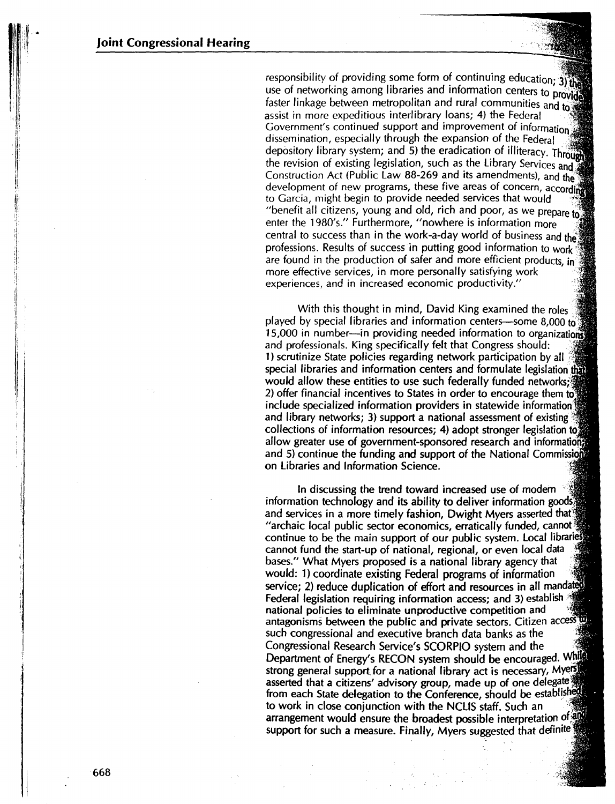responsibility of providing some form of continuing education; 3) the use of networking among libraries and information centers to provide faster linkage between metropolitan and rural communities and to assist in more expeditious interlibrary loans; 4) the Federal Government's continued support and improvement of information.'' dissemination, especially through the expansion of the Federal depository. library system; and 5) the eradication of illiteracy. Through the revision of existing legislation, such as the Library Services and Construction Act (Public Law 88-269 and its amendments), and the development of new programs, these five areas of concern, according to Garcia, might begin to provide needed services that would "benefit all citizens, young and old, rich and poor, as we prepare to enter the 1980's." Furthermore, "nowhere is information more central to success than in the work-a-day world of business and the professions. Results of success in putting good information to workare found in the production of safer and more efficient products, in more effective services, in more personally satisfying work experiences, and in increased economic productivity."

With this thought in mind, David King examined the roles played by special libraries and information centers-some 8,000 to 15,000 in number-in providing needed information to organizations and professionals. King specifically felt that Congress should: 1) scrutinize State policies regarding network participation by all special libraries and information centers and formulate legislation that would allow these entities to use such federally funded networks; 2) offer financial incentives to States in order to encourage them to include specialized information providers in statewide information<sup>9</sup> and library networks; 3) support a national assessment of existing collections of information resources; 4) adopt stronger legislation to allow greater use of government-sponsored research and informations and 5) continue the funding and support of the National Commissions on Libraries and Information Science.

In discussing the trend toward increased use of modern information technology and its ability to deliver information goods and services in a more timely fashion, Dwight Myers asserted that  $\frac{1}{2}$ "archaic local public sector economics, erratically funded, cannot· continue to be the main support of our public system. Local libraries cannot fund the start-up of national, regional, or even local data bases." What Myers proposed is a national library agency that would: 1) coordinate existing Federal programs of information service; 2) reduce duplication of effort and resources in all mandated Federal legislation requiring information access; and 3) establish national policies to eliminate unproductive competition and antagonisms between the public and private sectors. Citizen access to such congressional and executive branch data banks as the Congressional Research Service's SCORPIO system and the ;: Department of Energy's RECON system should be encouraged. While strong general support for a national library act is necessary, Myers asserted that a citizens' advisory group, made up of one delegate<sup>3</sup> from each State delegation to the Conference, should be established to work in close conjunction with the NCLIS staff. Such an arrangement would ensure the broadest possible interpretation of all support for such a measure. Finally, Myers suggested that definite

'I :: .i· ·1· :1 I J

! :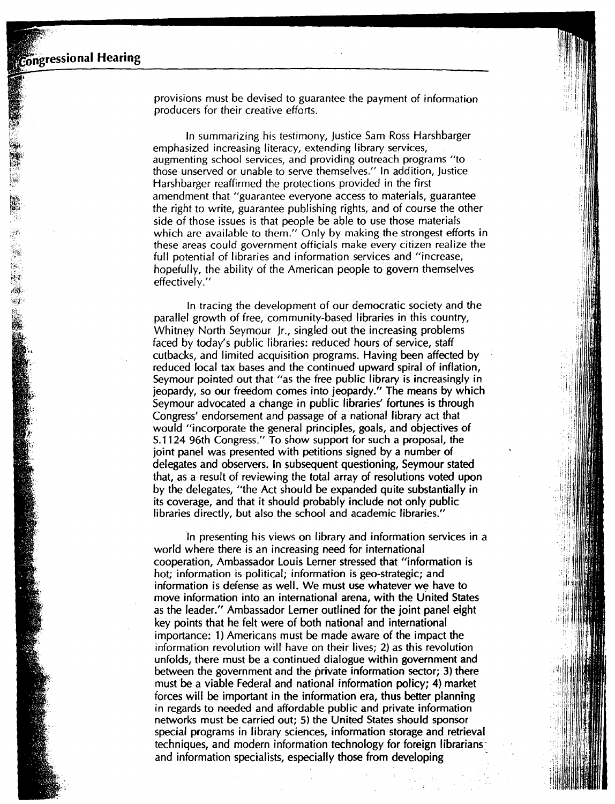~-~~!  $-$ ~,i ifia~

 $\mathcal{A}$  . Ø.

provisions must be devised to guarantee the payment of information producers for their creative efforts.

ii

II

In summarizing his testimony, Justice Sam Ross Harshbarger emphasized increasing literacy, extending library services, augmenting school services, and providing outreach programs "to those unserved or unable to serve themselves." In addition, justice Harshbarger reaffirmed the protections provided in the first amendment that "guarantee everyone access to materials, guarantee the right to write, guarantee publishing rights, and of course the other side of those issues is that people be able to use those materials which are available to them." Only by making the strongest efforts in these areas could government officials make every citizen realize the full potential of libraries and information services and "increase, hopefully, the ability of the American people to govern themselves effectively."

In tracing the development of our democratic society and the parallel growth of free, community-based libraries in this country, Whitney North Seymour Jr., singled out the increasing problems faced by today's public libraries: reduced hours of service, staff cutbacks, and limited acquisition programs. Having been affected by reduced local tax bases and the continued upward spiral of inflation, Seymour pointed out that "as the free public library is increasingly in jeopardy, so our freedom comes into jeopardy." The means by which Seymour advocated a change in public libraries' fortunes is through Congress' endorsement and passage of a national library act that would "incorporate the general principles, goals, and objectives of S.1124 96th Congress." To show support for such a proposal, the joint panel was presented with petitions signed by a number of delegates and observers. In subsequent questioning, Seymour stated that, as a result of reviewing the total array of resolutions voted upon by the delegates, "the Act should be expanded quite substantially in its coverage, and that it should probably include not only public libraries directly, but also the school and academic libraries."

In presenting his views on library and information services in a world where there is an increasing need for international cooperation, Ambassador Louis Lerner stressed that "information is hot; information is political; information is geo-strategic; and information is defense as well. We must use whatever we have to move information into an international arena, with the United States as the leader." Ambassador Lerner outlined for the joint panel eight key points that he felt were of both national and international importance: 1) Americans must be made aware of the impact the information revolution will have on their lives; 2) as this revolution unfolds, there must be a continued dialogue within government and between the government and the private information sector; 3) there must be a viable Federal and national information policy; 4) market forces will be important in the information era, thus better planning in regards to needed and affordable public and private information networks must be carried out; 5) the United States should sponsor special programs in library sciences, information storage and retrieval techniques, and modern information technology for foreign librarians: and information specialists, especially those from developing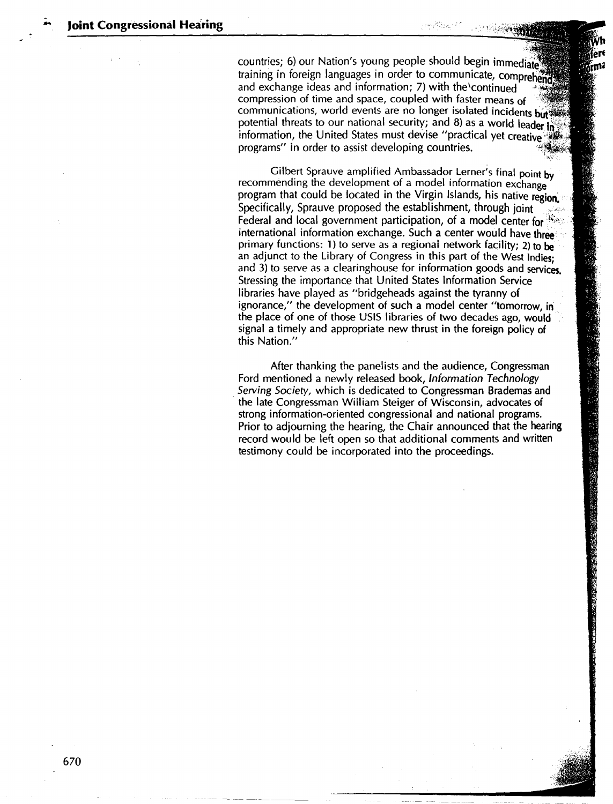.<br>..

countries; 6) our Nation's young people should begin immediate training in foreign languages in order to communicate, comprehend and exchange ideas and information;  $7$ ) with the continued compression of time and space, coupled with faster means of communications, world events are no longer isolated incidents but potential threats to our national security; and 8) as a world leader in information, the United States must devise "practical yet creative" programs" in order to assist developing countries.

Gilbert Sprauve amplified Ambassador Lerner's final point by recommending the development of a model information exchange program that could be located in the Virgin Islands, his native region. Specifically, Sprauve proposed the establishment, through joint Federal and local government participation, of a model center for  $\mathcal{R}^*$ . international information exchange. Such a center would have **three**  primary functions: 1) to serve as a regional network facility; 2) to **be**  an adjunct to the Library of Congress in this part of the West Indies; and 3) to serve as a clearinghouse for information goods and services. Stressing the importance that United States Information Service libraries have played as "bridgeheads against the tyranny of ignorance," the development of such a model center "tomorrow, in the place of one of those USIS libraries of two decades ago, would signal a timely and appropriate new thrust in the foreign policy of this Nation."

After thanking the panelists and the audience, Congressman Ford mentioned a newly released book, Information Technology *Serving Society,* which is dedicated to Congressman Brademas and · the late Congressman William Steiger of Wisconsin, advocates of strong information-oriented congressional and national programs. Prior to adjourning the hearing, the Chair announced that the hearing record would be left open so that additional comments and written testimony could be incorporated into the proceedings.